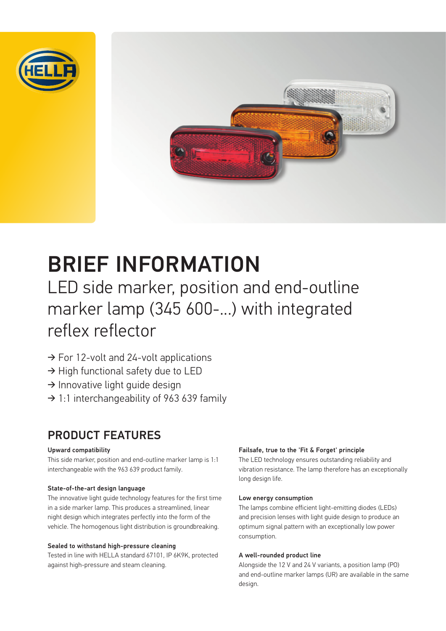



# BRIEF INFORMATION

LED side marker, position and end-outline marker lamp (345 600-...) with integrated reflex reflector

- ➔ For 12-volt and 24-volt applications
- ➔ High functional safety due to LED
- ➔ Innovative light guide design
- $\rightarrow$  1:1 interchangeability of 963 639 family

### PRODUCT FEATURES

#### Upward compatibility

This side marker, position and end-outline marker lamp is 1:1 interchangeable with the 963 639 product family.

#### State-of-the-art design language

The innovative light guide technology features for the first time in a side marker lamp. This produces a streamlined, linear night design which integrates perfectly into the form of the vehicle. The homogenous light distribution is groundbreaking.

#### Sealed to withstand high-pressure cleaning

Tested in line with HELLA standard 67101, IP 6K9K, protected against high-pressure and steam cleaning.

#### Failsafe, true to the 'Fit & Forget' principle

The LED technology ensures outstanding reliability and vibration resistance. The lamp therefore has an exceptionally long design life.

#### Low energy consumption

The lamps combine efficient light-emitting diodes (LEDs) and precision lenses with light guide design to produce an optimum signal pattern with an exceptionally low power consumption.

#### A well-rounded product line

Alongside the 12 V and 24 V variants, a position lamp (PO) and end-outline marker lamps (UR) are available in the same design.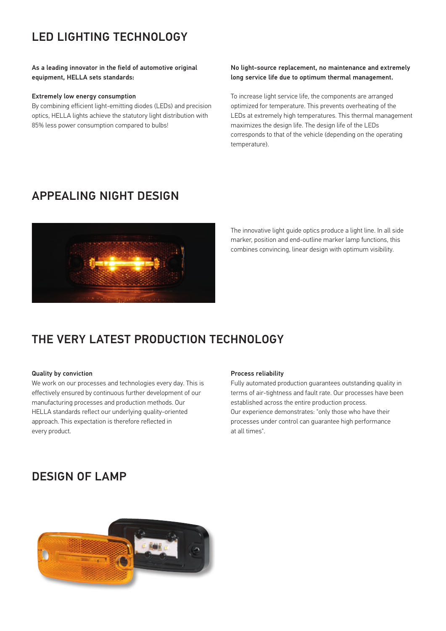# LED LIGHTING TECHNOLOGY

#### As a leading innovator in the field of automotive original equipment, HELLA sets standards:

#### Extremely low energy consumption

By combining efficient light-emitting diodes (LEDs) and precision optics, HELLA lights achieve the statutory light distribution with 85% less power consumption compared to bulbs!

#### No light-source replacement, no maintenance and extremely long service life due to optimum thermal management.

To increase light service life, the components are arranged optimized for temperature. This prevents overheating of the LEDs at extremely high temperatures. This thermal management maximizes the design life. The design life of the LEDs corresponds to that of the vehicle (depending on the operating temperature).

### APPEALING NIGHT DESIGN



The innovative light guide optics produce a light line. In all side marker, position and end-outline marker lamp functions, this combines convincing, linear design with optimum visibility.

### THE VERY LATEST PRODUCTION TECHNOLOGY

#### Quality by conviction

We work on our processes and technologies every day. This is effectively ensured by continuous further development of our manufacturing processes and production methods. Our HELLA standards reflect our underlying quality-oriented approach. This expectation is therefore reflected in every product.

#### Process reliability

Fully automated production guarantees outstanding quality in terms of air-tightness and fault rate. Our processes have been established across the entire production process. Our experience demonstrates: "only those who have their processes under control can guarantee high performance at all times".

### DESIGN OF LAMP

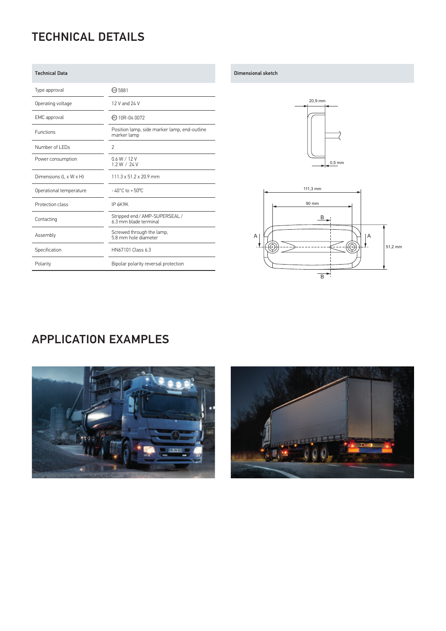# TECHNICAL DETAILS

| <b>Technical Data</b>   |                                                             |
|-------------------------|-------------------------------------------------------------|
| Type approval           | @ 5881                                                      |
| Operating voltage       | 12 V and 24 V                                               |
| EMC approval            | <b>ේ 10R-04 0072</b>                                        |
| <b>Functions</b>        | Position lamp, side marker lamp, end-outline<br>marker lamp |
| Number of LEDs          | $\overline{2}$                                              |
| Power consumption       | 0.6 W / 12 V<br>1.2 W / 24 V                                |
| Dimensions (L x W x H)  | $111.3 \times 51.2 \times 20.9$ mm                          |
| Operational temperature | $-40^{\circ}$ C to $+50^{\circ}$ C                          |
| Protection class        | IP 6K9K                                                     |
| Contacting              | Stripped end / AMP-SUPERSEAL /<br>6.3 mm blade terminal     |
| Assembly                | Screwed through the lamp,<br>5.8 mm hole diameter           |
| Specification           | HN67101 Class 6.3                                           |
| Polarity                | Bipolar polarity reversal protection                        |

#### Dimensional sketch





### APPLICATION EXAMPLES